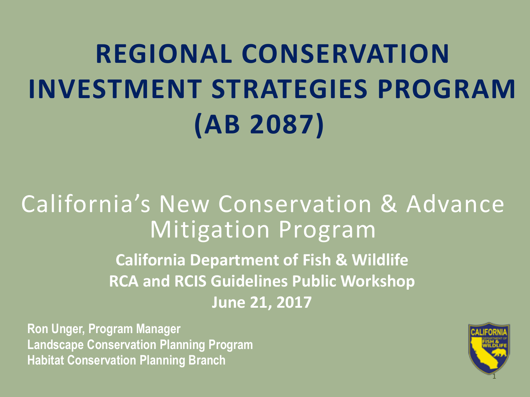# **REGIONAL CONSERVATION INVESTMENT STRATEGIES PROGRAM (AB 2087)**

#### California's New Conservation & Advance Mitigation Program

**California Department of Fish & Wildlife RCA and RCIS Guidelines Public Workshop June 21, 2017**

**Ron Unger, Program Manager Landscape Conservation Planning Program Habitat Conservation Planning Branch**

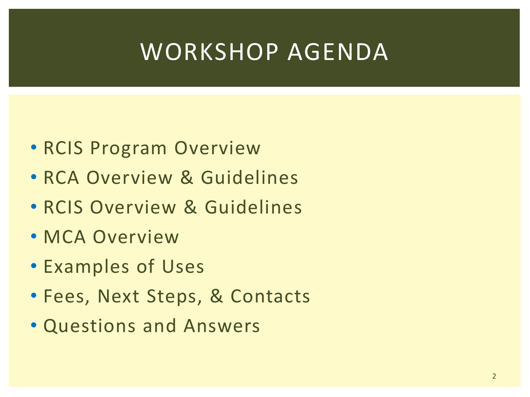#### WORKSHOP AGENDA

- RCIS Program Overview
- RCA Overview & Guidelines
- RCIS Overview & Guidelines
- MCA Overview
- Examples of Uses
- Fees, Next Steps, & Contacts
- Questions and Answers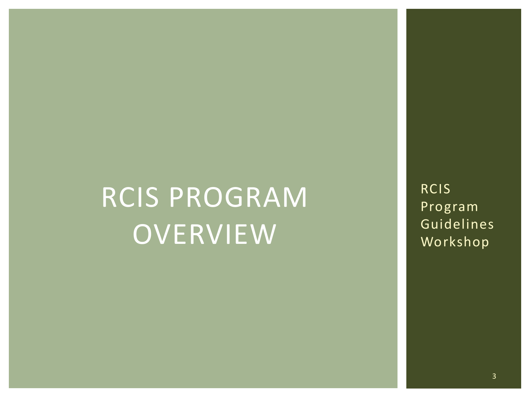## RCIS PROGRAM **OVERVIEW**

RCIS Program Guidelines Workshop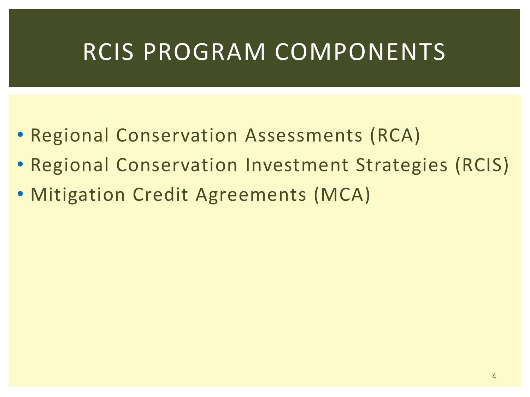#### RCIS PROGRAM COMPONENTS

- Regional Conservation Assessments (RCA)
- Regional Conservation Investment Strategies (RCIS)
- Mitigation Credit Agreements (MCA)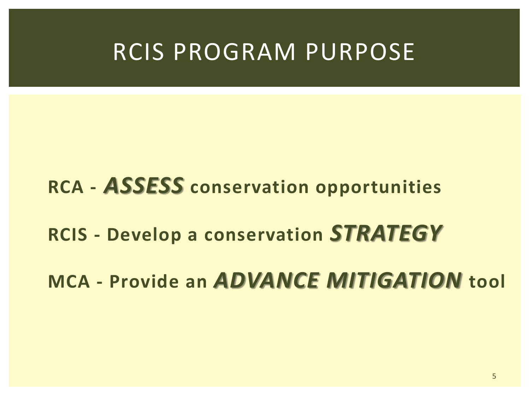#### RCIS PROGRAM PURPOSE

#### **RCA -** *ASSESS* **conservation opportunities**

#### **RCIS - Develop a conservation** *STRATEGY*

**MCA - Provide an** *ADVANCE MITIGATION* **tool**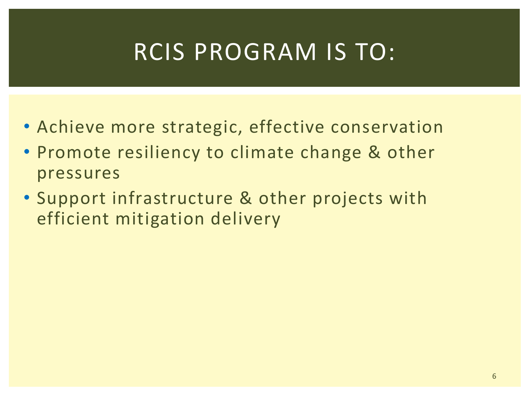#### RCIS PROGRAM IS TO:

- Achieve more strategic, effective conservation
- Promote resiliency to climate change & other pressures
- Support infrastructure & other projects with efficient mitigation delivery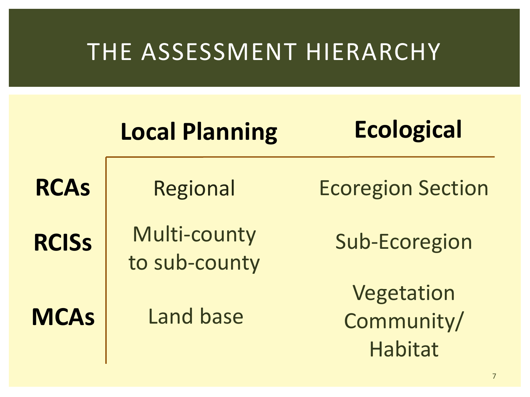#### THE ASSESSMENT HIERARCHY

|              | <b>Local Planning</b>         | <b>Ecological</b>                          |
|--------------|-------------------------------|--------------------------------------------|
| <b>RCAs</b>  | <b>Regional</b>               | <b>Ecoregion Section</b>                   |
| <b>RCISS</b> | Multi-county<br>to sub-county | <b>Sub-Ecoregion</b>                       |
| <b>MCAs</b>  | Land base                     | Vegetation<br>Community/<br><b>Habitat</b> |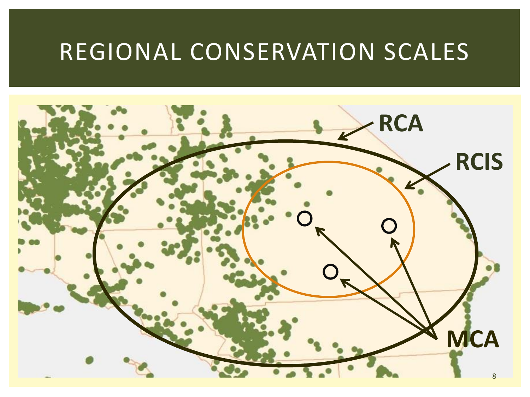#### REGIONAL CONSERVATION SCALES

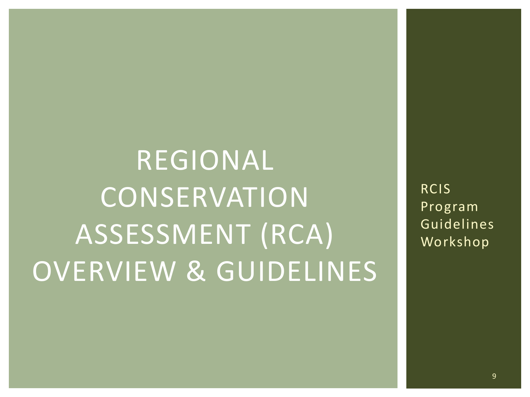# REGIONAL **CONSERVATION** ASSESSMENT (RCA) OVERVIEW & GUIDELINES

RCIS Program Guidelines Workshop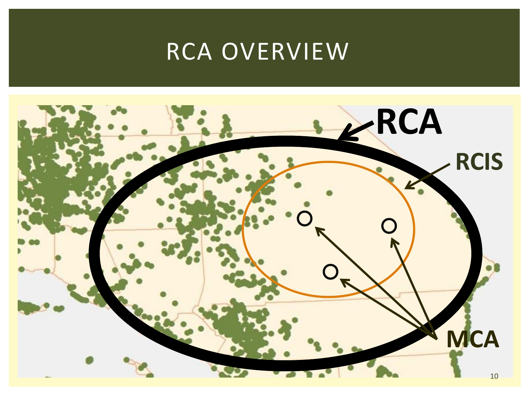#### RCA OVERVIEW

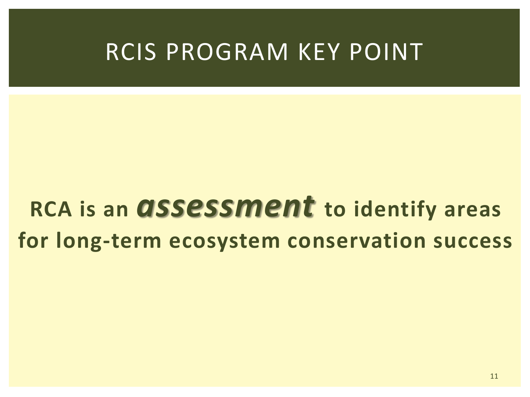#### RCIS PROGRAM KEY POINT

### **RCA is an** *assessment* **to identify areas for long-term ecosystem conservation success**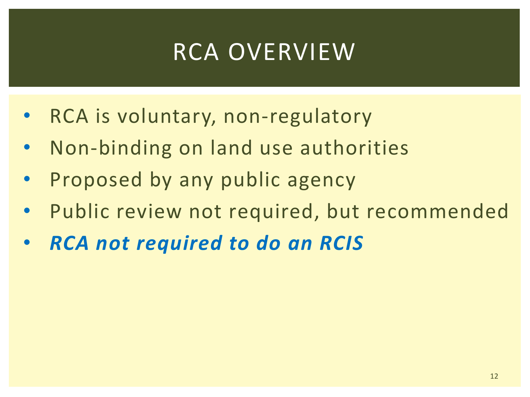#### RCA OVERVIEW

- RCA is voluntary, non-regulatory
- Non-binding on land use authorities
- Proposed by any public agency
- Public review not required, but recommended
- *RCA not required to do an RCIS*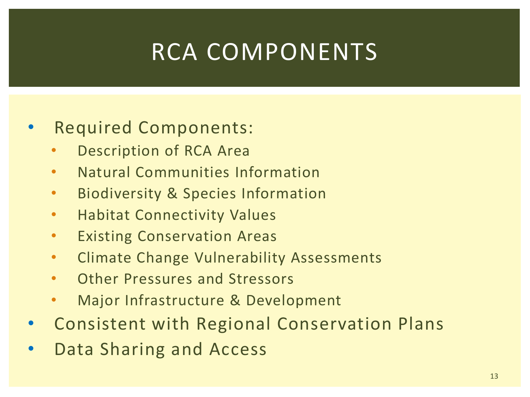### RCA COMPONENTS

#### • Required Components:

- Description of RCA Area
- Natural Communities Information
- Biodiversity & Species Information
- Habitat Connectivity Values
- Existing Conservation Areas
- Climate Change Vulnerability Assessments
- Other Pressures and Stressors
- Major Infrastructure & Development
- Consistent with Regional Conservation Plans
- Data Sharing and Access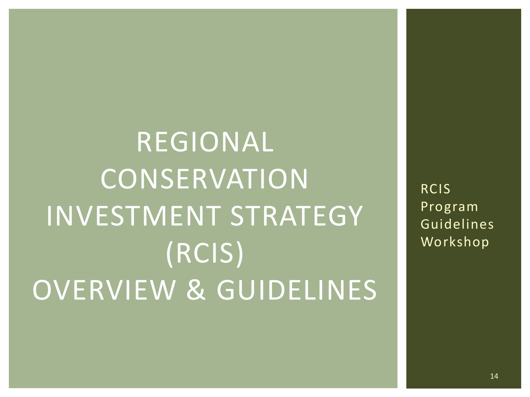# REGIONAL **CONSERVATION** INVESTMENT STRATEGY (RCIS) OVERVIEW & GUIDELINES

RCIS Program Guidelines Workshop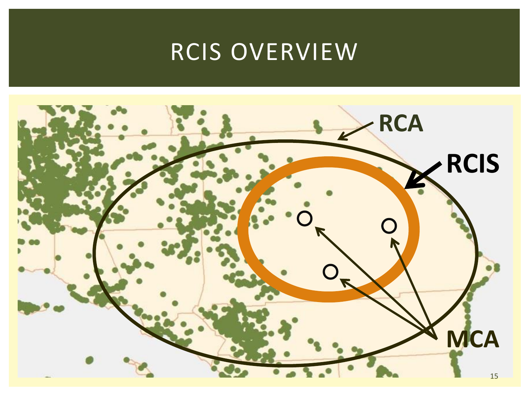### RCIS OVERVIEW

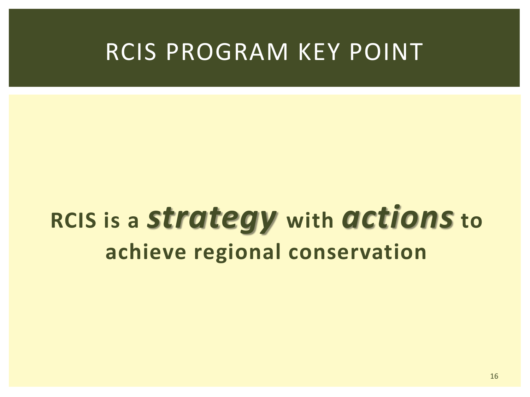#### RCIS PROGRAM KEY POINT

### **RCIS is a** *strategy* **with** *actions* **to achieve regional conservation**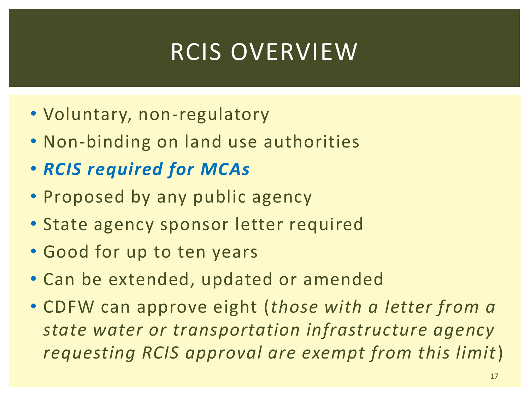### RCIS OVERVIEW

- Voluntary, non-regulatory
- Non-binding on land use authorities
- *RCIS required for MCAs*
- Proposed by any public agency
- State agency sponsor letter required
- Good for up to ten years
- Can be extended, updated or amended
- CDFW can approve eight (*those with a letter from a state water or transportation infrastructure agency requesting RCIS approval are exempt from this limit*)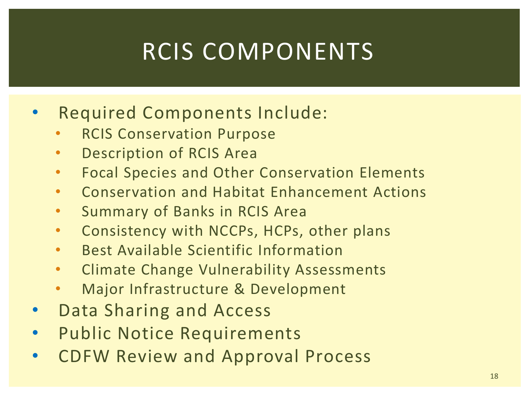### RCIS COMPONENTS

- Required Components Include:
	- **RCIS Conservation Purpose**
	- Description of RCIS Area
	- Focal Species and Other Conservation Elements
	- Conservation and Habitat Enhancement Actions
	- Summary of Banks in RCIS Area
	- Consistency with NCCPs, HCPs, other plans
	- Best Available Scientific Information
	- Climate Change Vulnerability Assessments
	- Major Infrastructure & Development
- Data Sharing and Access
- Public Notice Requirements
- CDFW Review and Approval Process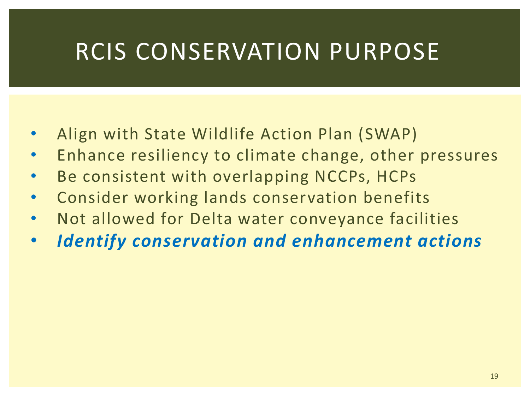#### RCIS CONSERVATION PURPOSE

- Align with State Wildlife Action Plan (SWAP)
- Enhance resiliency to climate change, other pressures
- Be consistent with overlapping NCCPs, HCPs
- Consider working lands conservation benefits
- Not allowed for Delta water conveyance facilities
- *Identify conservation and enhancement actions*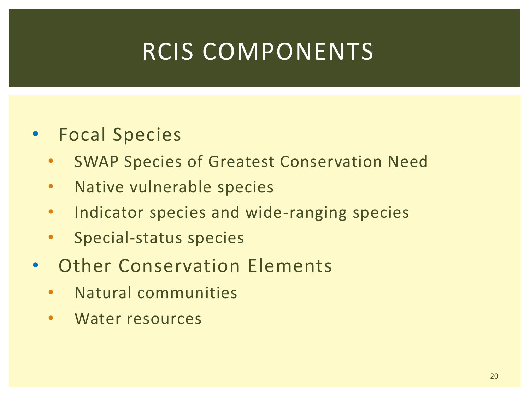### RCIS COMPONENTS

- Focal Species
	- SWAP Species of Greatest Conservation Need
	- Native vulnerable species
	- Indicator species and wide-ranging species
	- Special-status species
- Other Conservation Elements
	- Natural communities
	- Water resources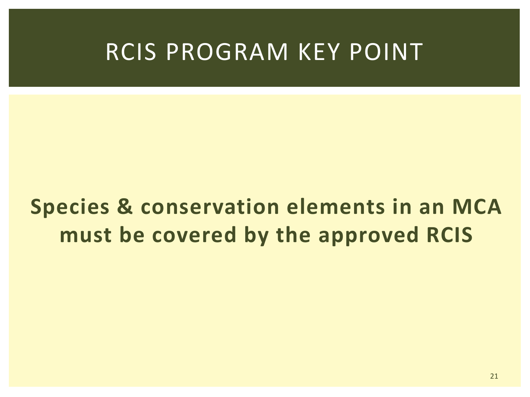#### RCIS PROGRAM KEY POINT

#### **Species & conservation elements in an MCA must be covered by the approved RCIS**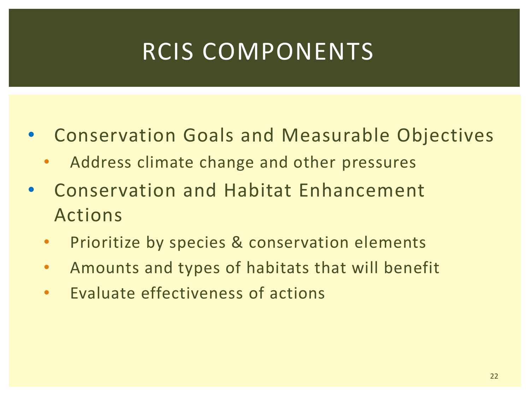### RCIS COMPONENTS

- Conservation Goals and Measurable Objectives
	- Address climate change and other pressures
- Conservation and Habitat Enhancement Actions
	- Prioritize by species & conservation elements
	- Amounts and types of habitats that will benefit
	- Evaluate effectiveness of actions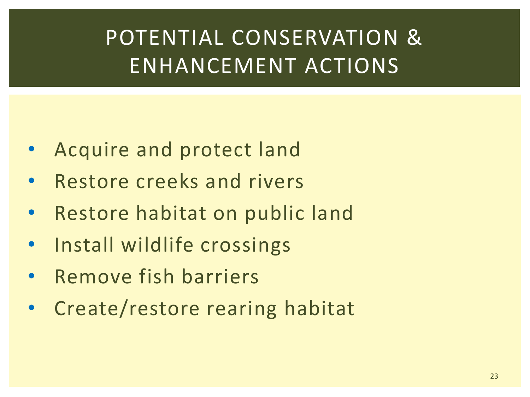#### POTENTIAL CONSERVATION & ENHANCEMENT ACTIONS

- Acquire and protect land
- Restore creeks and rivers
- Restore habitat on public land
- Install wildlife crossings
- Remove fish barriers
- Create/restore rearing habitat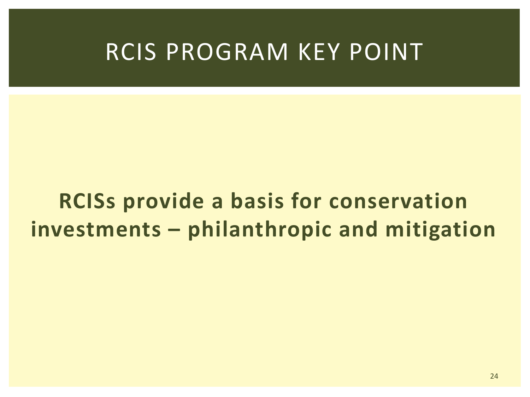#### RCIS PROGRAM KEY POINT

#### **RCISs provide a basis for conservation investments – philanthropic and mitigation**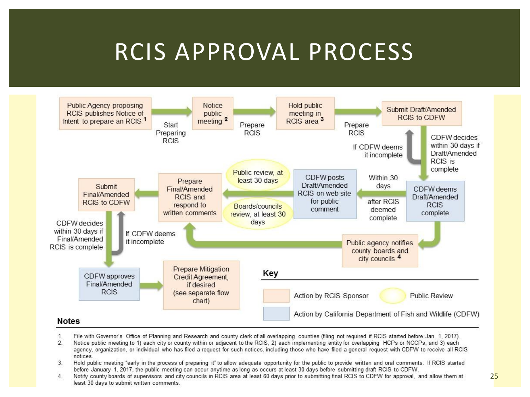#### RCIS APPROVAL PROCESS



- $\mathbf{1}$ File with Governor's Office of Planning and Research and county clerk of all overlapping counties (filing not required if RCIS started before Jan. 1, 2017).
- Notice public meeting to 1) each city or county within or adjacent to the RCIS, 2) each implementing entity for overlapping HCPs or NCCPs, and 3) each  $\mathcal{P}$ agency, organization, or individual who has filed a request for such notices, including those who have filed a general request with CDFW to receive all RCIS notices
- $\overline{3}$ Hold public meeting "early in the process of preparing it" to allow adequate opportunity for the public to provide written and oral comments. If RCIS started before January 1, 2017, the public meeting can occur anytime as long as occurs at least 30 days before submitting draft RCIS to CDFW.
- $\overline{4}$ Notify county boards of supervisors and city councils in RCIS area at least 60 days prior to submitting final RCIS to CDFW for approval, and allow them at least 30 days to submit written comments.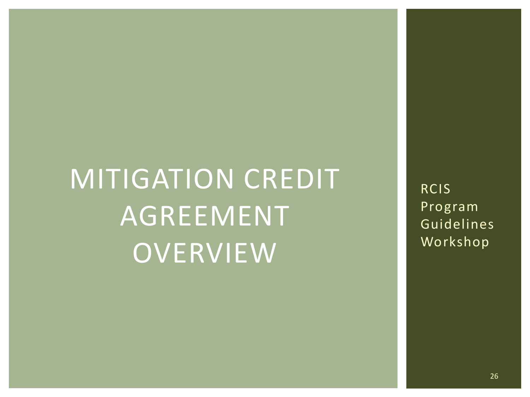# MITIGATION CREDIT AGREEMENT **OVERVIEW**

RCIS Program Guidelines Workshop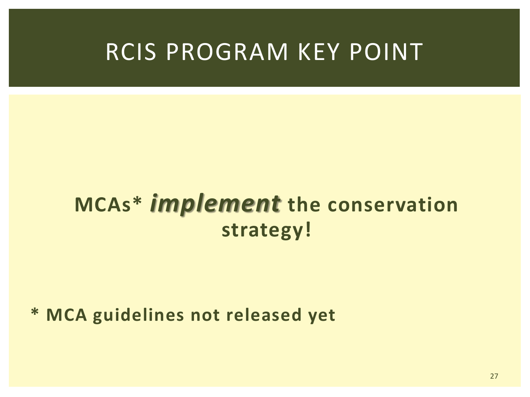#### RCIS PROGRAM KEY POINT

#### **MCAs\*** *implement* **the conservation strategy!**

**\* MCA guidelines not released yet**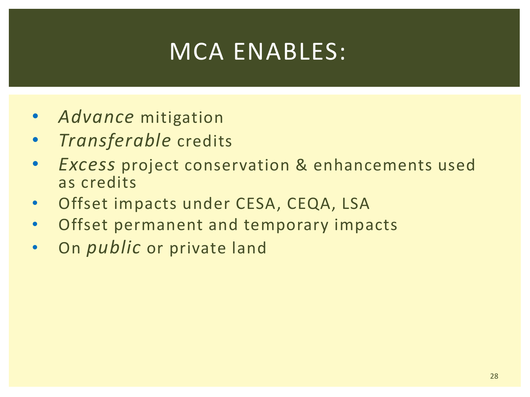### MCA ENABLES:

- *Advance* mitigation
- *Transferable* credits
- *Excess* project conservation & enhancements used as credits
- Offset impacts under CESA, CEQA, LSA
- Offset permanent and temporary impacts
- On *public* or private land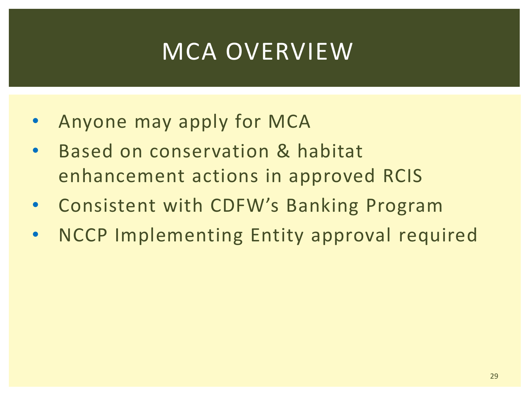### MCA OVERVIEW

- Anyone may apply for MCA
- Based on conservation & habitat enhancement actions in approved RCIS
- Consistent with CDFW's Banking Program
- NCCP Implementing Entity approval required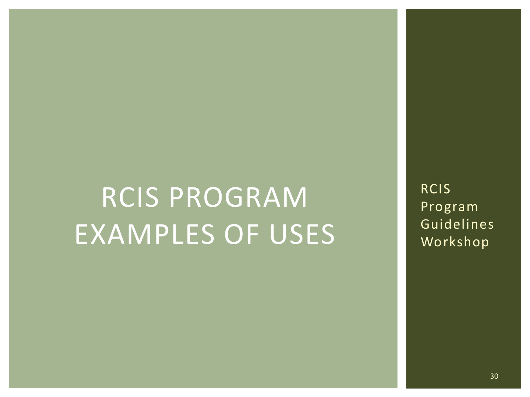# RCIS PROGRAM EXAMPLES OF USES

RCIS Program Guidelines Workshop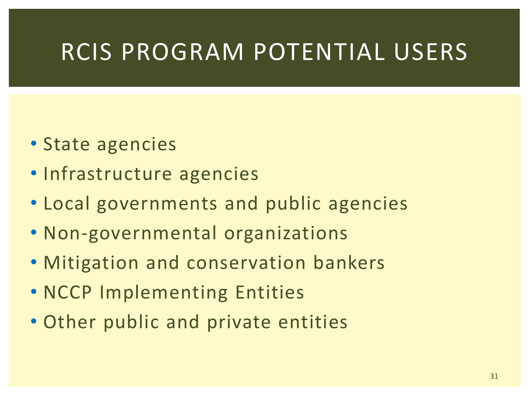#### RCIS PROGRAM POTENTIAL USERS

- State agencies
- Infrastructure agencies
- Local governments and public agencies
- Non-governmental organizations
- Mitigation and conservation bankers
- NCCP Implementing Entities
- Other public and private entities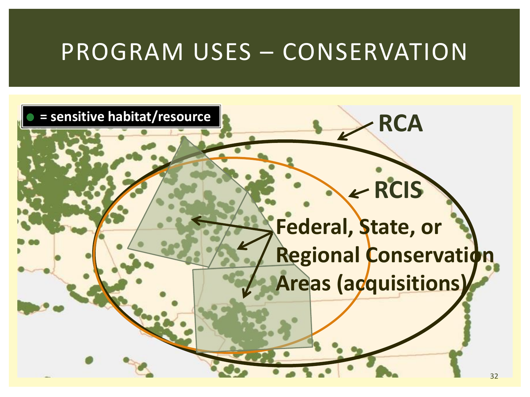#### PROGRAM USES – CONSERVATION

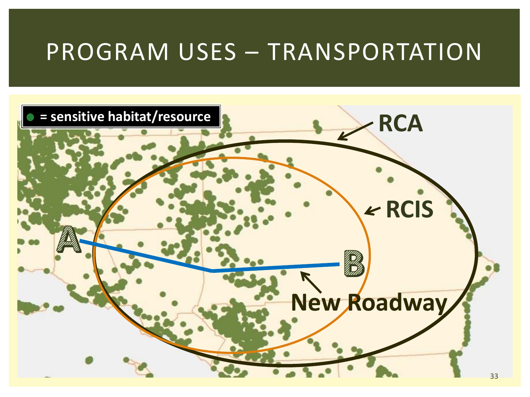#### PROGRAM USES – TRANSPORTATION

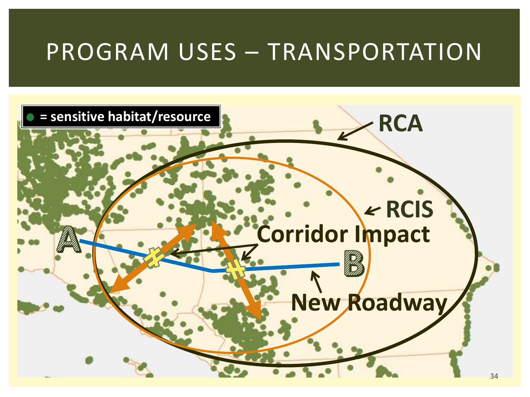#### PROGRAM USES – TRANSPORTATION

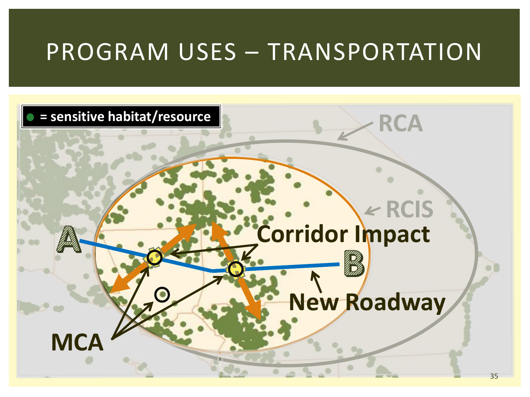#### PROGRAM USES – TRANSPORTATION

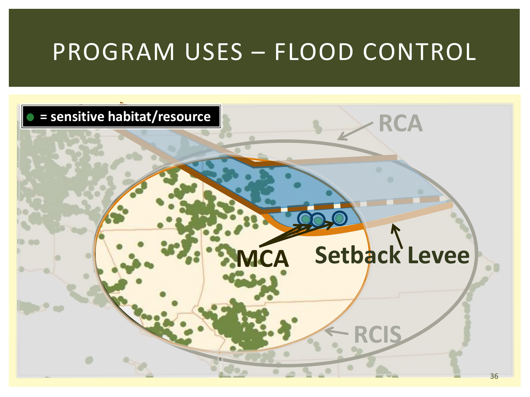#### PROGRAM USES – FLOOD CONTROL

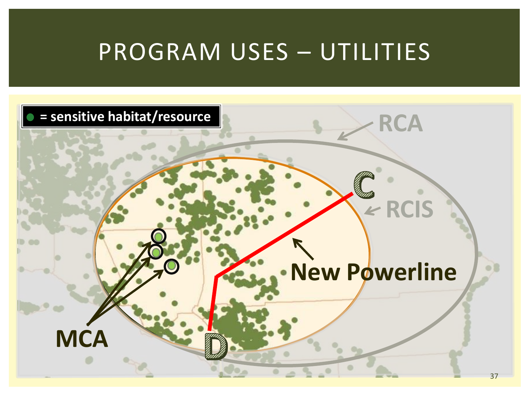#### PROGRAM USES – UTILITIES

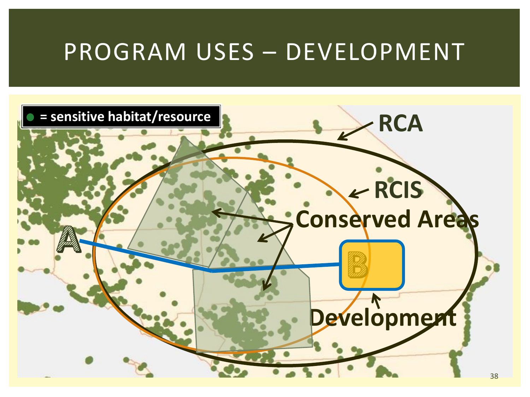#### PROGRAM USES – DEVELOPMENT

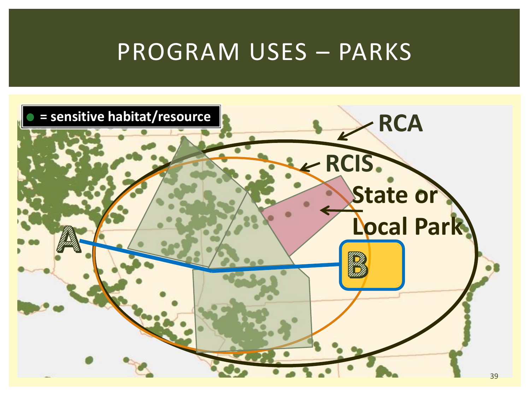#### PROGRAM USES – PARKS

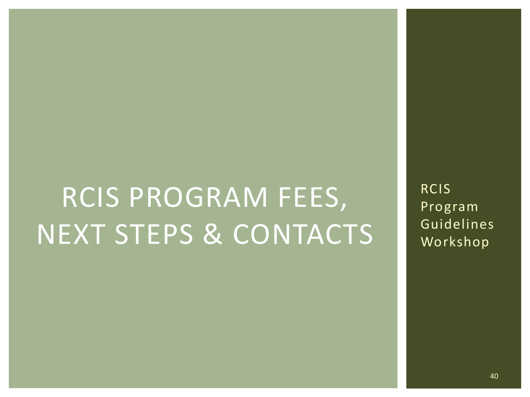# RCIS PROGRAM FEES, NEXT STEPS & CONTACTS

RCIS Program Guidelines Workshop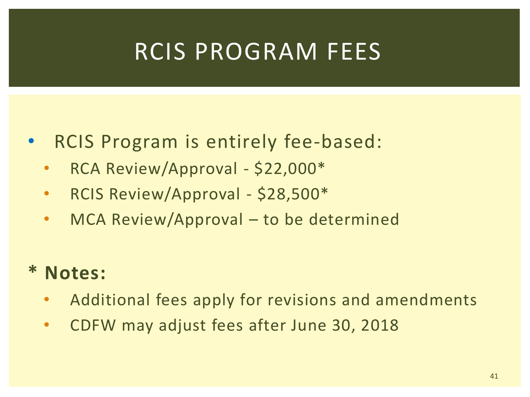#### RCIS PROGRAM FEES

- RCIS Program is entirely fee-based:
	- RCA Review/Approval \$22,000\*
	- RCIS Review/Approval \$28,500\*
	- MCA Review/Approval to be determined

#### **\* Notes:**

- Additional fees apply for revisions and amendments
- CDFW may adjust fees after June 30, 2018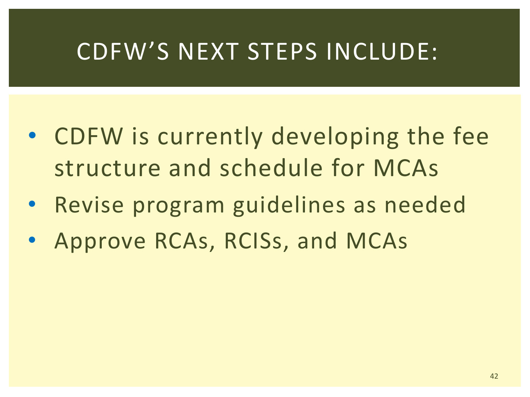#### CDFW'S NEXT STEPS INCLUDE:

- CDFW is currently developing the fee structure and schedule for MCAs
- Revise program guidelines as needed
- Approve RCAs, RCISs, and MCAs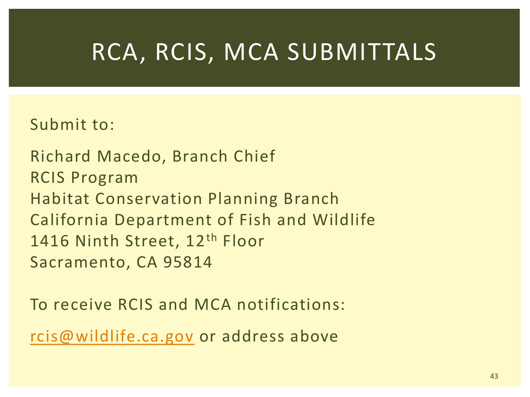#### RCA, RCIS, MCA SUBMITTALS

#### Submit to:

Richard Macedo, Branch Chief RCIS Program Habitat Conservation Planning Branch California Department of Fish and Wildlife 1416 Ninth Street, 12<sup>th</sup> Floor Sacramento, CA 95814

To receive RCIS and MCA notifications:

[rcis@wildlife.ca.gov](mailto:rcis@wildlife.ca.gov) or address above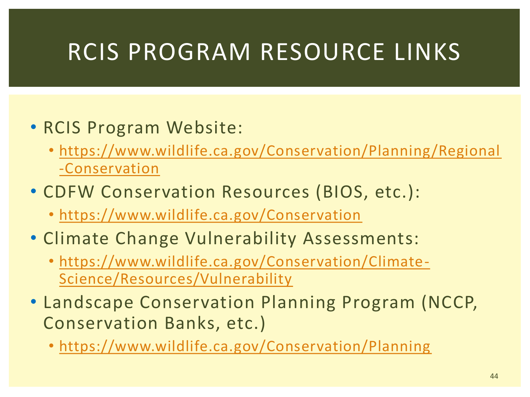#### RCIS PROGRAM RESOURCE LINKS

#### • RCIS Program Website:

- [https://www.wildlife.ca.gov/Conservation/Planning/Regional](https://www.wildlife.ca.gov/Conservation/Planning/Regional-Conservation) -Conservation
- CDFW Conservation Resources (BIOS, etc.):
	- <https://www.wildlife.ca.gov/Conservation>
- Climate Change Vulnerability Assessments:
	- [https://www.wildlife.ca.gov/Conservation/Climate-](https://www.wildlife.ca.gov/Conservation/Climate-Science/Resources/Vulnerability)Science/Resources/Vulnerability
- Landscape Conservation Planning Program (NCCP, Conservation Banks, etc.)
	- <https://www.wildlife.ca.gov/Conservation/Planning>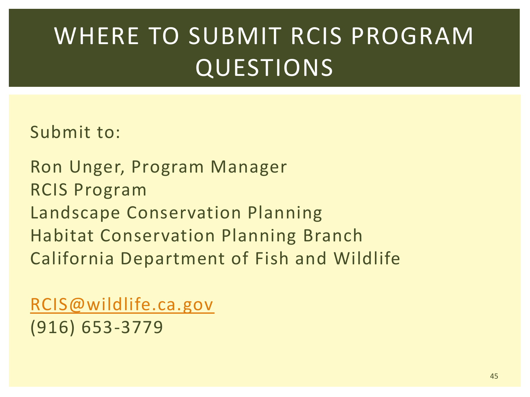### WHERE TO SUBMIT RCIS PROGRAM **QUESTIONS**

Submit to:

Ron Unger, Program Manager RCIS Program Landscape Conservation Planning Habitat Conservation Planning Branch California Department of Fish and Wildlife

[RCIS@wildlife.ca.gov](mailto:RCIS@wildlife.ca.gov) (916) 653-3779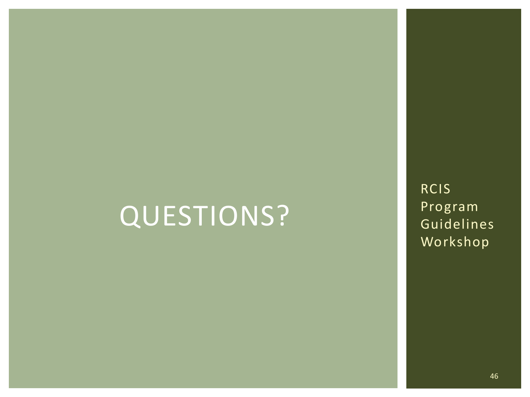### QUESTIONS?

RCIS Program Guidelines Workshop